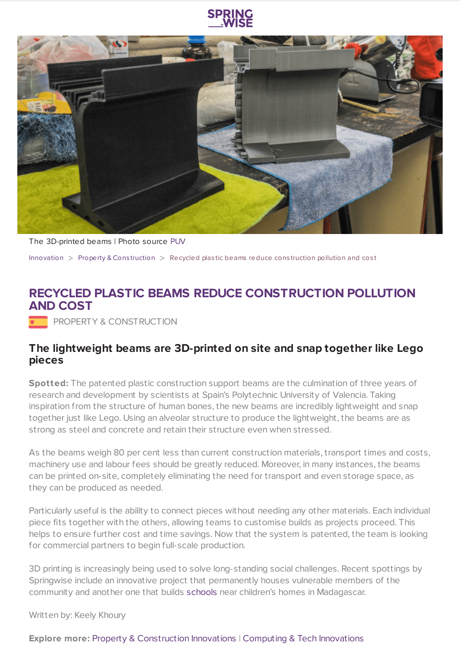



The 3D-printed beams | Photo source [PUV](http://www.upv.es/index-en.html)

[Innovation](https://www.springwise.com/search?type=innovation)  $>$  [Property](https://www.springwise.com/search?type=innovation§or=property-and-construction) & Construction  $>$  Recycled plastic beams reduce construction pollution and cost

## **RECYCLED PLASTIC BEAMS REDUCE CONSTRUCTION POLLUTION AND COST**

**PROPERTY & CONSTRUCTION** 

## **The lightweight beams are 3D-printed on site and snap together like Lego pieces**

**Spotted:** The patented plastic construction support beams are the culmination of three years of research and development by scientists at Spain's Polytechnic University of Valencia. Taking inspiration from the structure of human bones, the new beams are incredibly lightweight and snap together just like Lego. Using an alveolar structure to produce the lightweight, the beams are as strong as steel and concrete and retain their structure even when stressed.

As the beams weigh 80 per cent less than current construction materials, transport times and costs, machinery use and labour fees should be greatly reduced. Moreover, in many instances, the beams can be printed on-site, completely eliminating the need for transport and even storage space, as they can be produced as needed.

Particularly useful is the ability to connect pieces without needing any other materials. Each individual piece fits together with the others, allowing teams to customise builds as projects proceed. This helps to ensure further cost and time savings. Now that the system is patented, the team is looking for commercial partners to begin full-scale production.

3D printing is increasingly being used to solve long-standing social challenges. Recent spottings by Springwise include an innovative project that permanently houses vulnerable members of the community and another one that builds [schools](https://www.springwise.com/sustainability-innovation/architecture-design/3d-printed-school-madagascar) near children's homes in Madagascar.

Written by: Keely Khoury

## **Explore more:** Property & [Construction](https://www.springwise.com/property-and-construction-innovations/) Innovations | Computing & Tech [Innovations](https://www.springwise.com/computing-and-tech-innovations/)